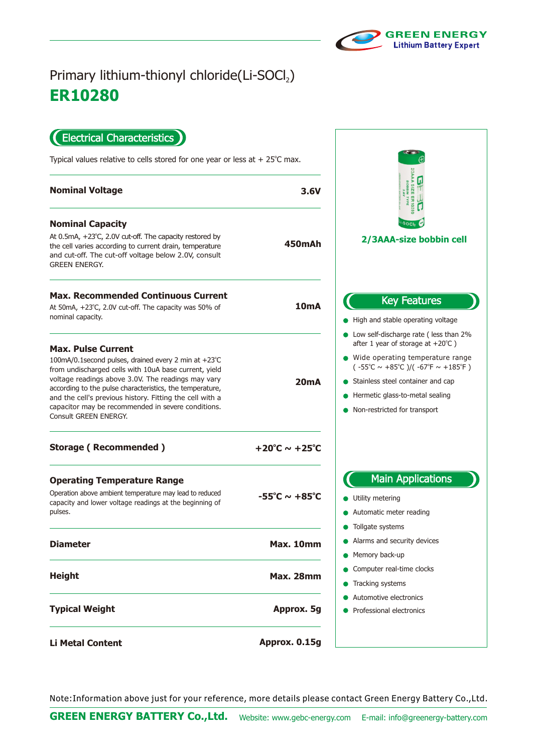

## **ER 10280** Primary lithium-thionyl chloride(Li-SOCl2)

Electrical Characteristics

Typical values relative to cells stored for one year or less at  $+25^{\circ}$ C max.

| 3.6V                               | <b>Nominal Voltage</b>                                                                                                                                                                             |
|------------------------------------|----------------------------------------------------------------------------------------------------------------------------------------------------------------------------------------------------|
|                                    | <b>Nominal Capacity</b>                                                                                                                                                                            |
| 450mAh                             | At 0.5mA, +23°C, 2.0V cut-off. The capacity restored by<br>the cell varies according to current drain, temperature<br>and cut-off. The cut-off voltage below 2.0V, consult<br><b>GREEN ENERGY.</b> |
|                                    | <b>Max. Recommended Continuous Current</b>                                                                                                                                                         |
| 10mA                               | At 50mA, +23°C, 2.0V cut-off. The capacity was 50% of<br>nominal capacity.                                                                                                                         |
|                                    | <b>Max. Pulse Current</b>                                                                                                                                                                          |
|                                    | 100mA/0.1 second pulses, drained every 2 min at +23°C                                                                                                                                              |
|                                    | from undischarged cells with 10uA base current, yield<br>voltage readings above 3.0V. The readings may vary                                                                                        |
| 20mA                               | according to the pulse characteristics, the temperature,                                                                                                                                           |
|                                    | and the cell's previous history. Fitting the cell with a                                                                                                                                           |
|                                    | capacitor may be recommended in severe conditions.<br>Consult GREEN ENERGY.                                                                                                                        |
| +20°C $\sim$ +25°C                 | <b>Storage (Recommended)</b>                                                                                                                                                                       |
|                                    | <b>Operating Temperature Range</b>                                                                                                                                                                 |
| $-55^{\circ}$ C ~ +85 $^{\circ}$ C | Operation above ambient temperature may lead to reduced<br>capacity and lower voltage readings at the beginning of<br>pulses.                                                                      |
| Max. 10mm                          | <b>Diameter</b>                                                                                                                                                                                    |
| <b>Max. 28mm</b>                   | <b>Height</b>                                                                                                                                                                                      |
| Approx. 5g                         | <b>Typical Weight</b>                                                                                                                                                                              |
| Approx. 0.15g                      | <b>Li Metal Content</b>                                                                                                                                                                            |

Key Features High and stable operating voltage Wide operating temperature range ( -55°C  $\sim$  +85°C )/( -67°F  $\sim$  +185°F ) **Low self-discharge rate ( less than 2%** after 1 year of storage at  $+20^{\circ}$ C ) Stainless steel container and cap Hermetic glass-to-metal sealing Non-restricted for transport **Utility metering Automatic meter reading** Tollgate systems Alarms and security devices **Memory back-up** Tracking systems **Automotive electronics Professional electronics** Main Applications Computer real-time clocks **2/3AAA-size bobbin cell**

Note:Information above just for your reference, more details please contact Green Energy Battery Co.,Ltd.